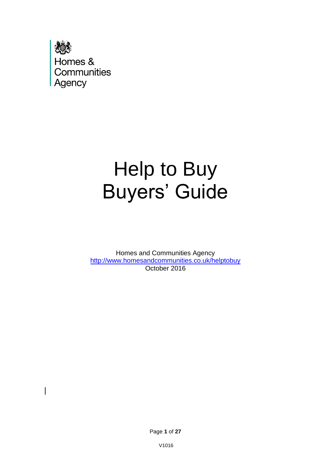

# Help to Buy Buyers' Guide

Homes and Communities Agency <http://www.homesandcommunities.co.uk/helptobuy> October 2016

Page **1** of **27**

V1016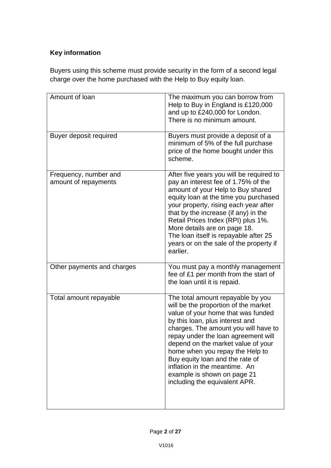# **Key information**

Buyers using this scheme must provide security in the form of a second legal charge over the home purchased with the Help to Buy equity loan.

| Amount of loan                                | The maximum you can borrow from<br>Help to Buy in England is £120,000<br>and up to £240,000 for London.<br>There is no minimum amount.                                                                                                                                                                                                                                                                                                         |
|-----------------------------------------------|------------------------------------------------------------------------------------------------------------------------------------------------------------------------------------------------------------------------------------------------------------------------------------------------------------------------------------------------------------------------------------------------------------------------------------------------|
| Buyer deposit required                        | Buyers must provide a deposit of a<br>minimum of 5% of the full purchase<br>price of the home bought under this<br>scheme.                                                                                                                                                                                                                                                                                                                     |
| Frequency, number and<br>amount of repayments | After five years you will be required to<br>pay an interest fee of 1.75% of the<br>amount of your Help to Buy shared<br>equity loan at the time you purchased<br>your property, rising each year after<br>that by the increase (if any) in the<br>Retail Prices Index (RPI) plus 1%.<br>More details are on page 18.<br>The loan itself is repayable after 25<br>years or on the sale of the property if<br>earlier.                           |
| Other payments and charges                    | You must pay a monthly management<br>fee of £1 per month from the start of<br>the loan until it is repaid.                                                                                                                                                                                                                                                                                                                                     |
| Total amount repayable                        | The total amount repayable by you<br>will be the proportion of the market<br>value of your home that was funded<br>by this loan, plus interest and<br>charges. The amount you will have to<br>repay under the loan agreement will<br>depend on the market value of your<br>home when you repay the Help to<br>Buy equity loan and the rate of<br>inflation in the meantime. An<br>example is shown on page 21<br>including the equivalent APR. |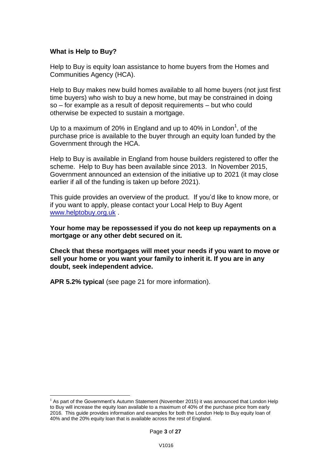## **What is Help to Buy?**

<u>.</u>

Help to Buy is equity loan assistance to home buyers from the Homes and Communities Agency (HCA).

Help to Buy makes new build homes available to all home buyers (not just first time buyers) who wish to buy a new home, but may be constrained in doing so – for example as a result of deposit requirements – but who could otherwise be expected to sustain a mortgage.

Up to a maximum of 20% in England and up to 40% in London<sup>1</sup>, of the purchase price is available to the buyer through an equity loan funded by the Government through the HCA.

Help to Buy is available in England from house builders registered to offer the scheme. Help to Buy has been available since 2013. In November 2015, Government announced an extension of the initiative up to 2021 (it may close earlier if all of the funding is taken up before 2021).

This guide provides an overview of the product. If you'd like to know more, or if you want to apply, please contact your Local Help to Buy Agent [www.helptobuy.org.uk](http://www.helptobuy.org.uk/) .

**Your home may be repossessed if you do not keep up repayments on a mortgage or any other debt secured on it.** 

**Check that these mortgages will meet your needs if you want to move or sell your home or you want your family to inherit it. If you are in any doubt, seek independent advice.** 

**APR 5.2% typical** (see page 21 for more information).

 $<sup>1</sup>$  As part of the Government's Autumn Statement (November 2015) it was announced that London Help</sup> to Buy will increase the equity loan available to a maximum of 40% of the purchase price from early 2016. This guide provides information and examples for both the London Help to Buy equity loan of 40% and the 20% equity loan that is available across the rest of England.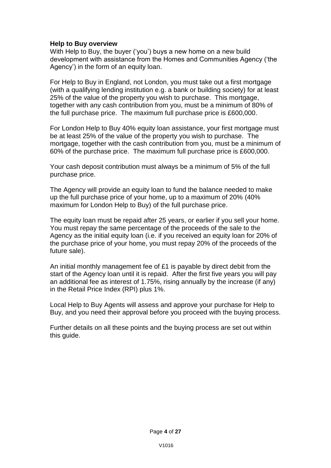## **Help to Buy overview**

With Help to Buy, the buyer ('you') buys a new home on a new build development with assistance from the Homes and Communities Agency ('the Agency') in the form of an equity loan.

For Help to Buy in England, not London, you must take out a first mortgage (with a qualifying lending institution e.g. a bank or building society) for at least 25% of the value of the property you wish to purchase. This mortgage, together with any cash contribution from you, must be a minimum of 80% of the full purchase price. The maximum full purchase price is £600,000.

For London Help to Buy 40% equity loan assistance, your first mortgage must be at least 25% of the value of the property you wish to purchase. The mortgage, together with the cash contribution from you, must be a minimum of 60% of the purchase price. The maximum full purchase price is £600,000.

Your cash deposit contribution must always be a minimum of 5% of the full purchase price.

The Agency will provide an equity loan to fund the balance needed to make up the full purchase price of your home, up to a maximum of 20% (40% maximum for London Help to Buy) of the full purchase price.

The equity loan must be repaid after 25 years, or earlier if you sell your home. You must repay the same percentage of the proceeds of the sale to the Agency as the initial equity loan (i.e. if you received an equity loan for 20% of the purchase price of your home, you must repay 20% of the proceeds of the future sale).

An initial monthly management fee of £1 is payable by direct debit from the start of the Agency loan until it is repaid. After the first five years you will pay an additional fee as interest of 1.75%, rising annually by the increase (if any) in the Retail Price Index (RPI) plus 1%.

Local Help to Buy Agents will assess and approve your purchase for Help to Buy, and you need their approval before you proceed with the buying process.

Further details on all these points and the buying process are set out within this guide.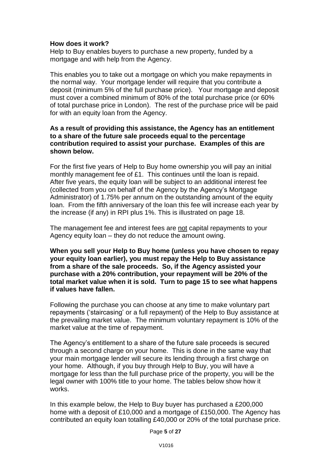## **How does it work?**

Help to Buy enables buyers to purchase a new property, funded by a mortgage and with help from the Agency.

This enables you to take out a mortgage on which you make repayments in the normal way. Your mortgage lender will require that you contribute a deposit (minimum 5% of the full purchase price). Your mortgage and deposit must cover a combined minimum of 80% of the total purchase price (or 60% of total purchase price in London). The rest of the purchase price will be paid for with an equity loan from the Agency.

#### **As a result of providing this assistance, the Agency has an entitlement to a share of the future sale proceeds equal to the percentage contribution required to assist your purchase. Examples of this are shown below.**

For the first five years of Help to Buy home ownership you will pay an initial monthly management fee of £1. This continues until the loan is repaid. After five years, the equity loan will be subject to an additional interest fee (collected from you on behalf of the Agency by the Agency's Mortgage Administrator) of 1.75% per annum on the outstanding amount of the equity loan. From the fifth anniversary of the loan this fee will increase each year by the increase (if any) in RPI plus 1%. This is illustrated on page 18.

The management fee and interest fees are not capital repayments to your Agency equity loan – they do not reduce the amount owing.

**When you sell your Help to Buy home (unless you have chosen to repay your equity loan earlier), you must repay the Help to Buy assistance from a share of the sale proceeds. So, if the Agency assisted your purchase with a 20% contribution, your repayment will be 20% of the total market value when it is sold. Turn to page 15 to see what happens if values have fallen.** 

Following the purchase you can choose at any time to make voluntary part repayments ('staircasing' or a full repayment) of the Help to Buy assistance at the prevailing market value. The minimum voluntary repayment is 10% of the market value at the time of repayment.

The Agency's entitlement to a share of the future sale proceeds is secured through a second charge on your home. This is done in the same way that your main mortgage lender will secure its lending through a first charge on your home. Although, if you buy through Help to Buy, you will have a mortgage for less than the full purchase price of the property, you will be the legal owner with 100% title to your home. The tables below show how it works.

In this example below, the Help to Buy buyer has purchased a £200,000 home with a deposit of £10,000 and a mortgage of £150,000. The Agency has contributed an equity loan totalling £40,000 or 20% of the total purchase price.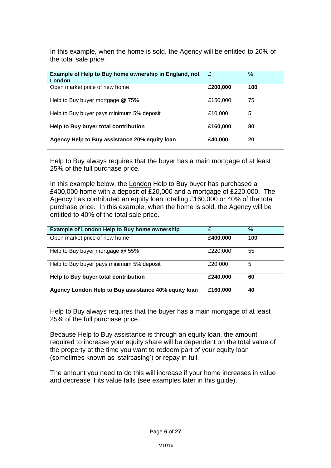In this example, when the home is sold, the Agency will be entitled to 20% of the total sale price.

| Example of Help to Buy home ownership in England, not<br>London | £        | %   |
|-----------------------------------------------------------------|----------|-----|
| Open market price of new home                                   | £200,000 | 100 |
| Help to Buy buyer mortgage @ 75%                                | £150,000 | 75  |
| Help to Buy buyer pays minimum 5% deposit                       | £10,000  | 5   |
| Help to Buy buyer total contribution                            | £160,000 | 80  |
| Agency Help to Buy assistance 20% equity loan                   | £40,000  | 20  |

Help to Buy always requires that the buyer has a main mortgage of at least 25% of the full purchase price.

In this example below, the London Help to Buy buyer has purchased a £400,000 home with a deposit of £20,000 and a mortgage of £220,000. The Agency has contributed an equity loan totalling £160,000 or 40% of the total purchase price. In this example, when the home is sold, the Agency will be entitled to 40% of the total sale price.

| <b>Example of London Help to Buy home ownership</b>  | £        | %   |
|------------------------------------------------------|----------|-----|
| Open market price of new home                        | £400,000 | 100 |
| Help to Buy buyer mortgage @ 55%                     | £220,000 | 55  |
| Help to Buy buyer pays minimum 5% deposit            | £20,000  | 5   |
| Help to Buy buyer total contribution                 | £240,000 | 60  |
| Agency London Help to Buy assistance 40% equity loan | £160,000 | 40  |

Help to Buy always requires that the buyer has a main mortgage of at least 25% of the full purchase price.

Because Help to Buy assistance is through an equity loan, the amount required to increase your equity share will be dependent on the total value of the property at the time you want to redeem part of your equity loan (sometimes known as 'staircasing') or repay in full.

The amount you need to do this will increase if your home increases in value and decrease if its value falls (see examples later in this guide).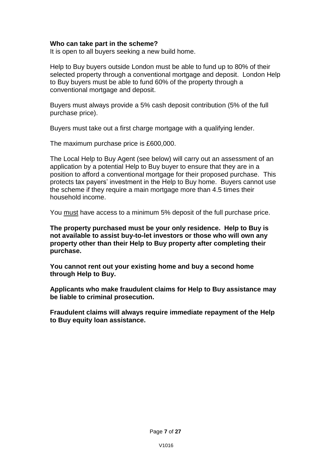#### **Who can take part in the scheme?**

It is open to all buyers seeking a new build home.

Help to Buy buyers outside London must be able to fund up to 80% of their selected property through a conventional mortgage and deposit. London Help to Buy buyers must be able to fund 60% of the property through a conventional mortgage and deposit.

Buyers must always provide a 5% cash deposit contribution (5% of the full purchase price).

Buyers must take out a first charge mortgage with a qualifying lender.

The maximum purchase price is £600,000.

The Local Help to Buy Agent (see below) will carry out an assessment of an application by a potential Help to Buy buyer to ensure that they are in a position to afford a conventional mortgage for their proposed purchase. This protects tax payers' investment in the Help to Buy home. Buyers cannot use the scheme if they require a main mortgage more than 4.5 times their household income.

You must have access to a minimum 5% deposit of the full purchase price.

**The property purchased must be your only residence. Help to Buy is not available to assist buy-to-let investors or those who will own any property other than their Help to Buy property after completing their purchase.** 

**You cannot rent out your existing home and buy a second home through Help to Buy.** 

**Applicants who make fraudulent claims for Help to Buy assistance may be liable to criminal prosecution.** 

**Fraudulent claims will always require immediate repayment of the Help to Buy equity loan assistance.**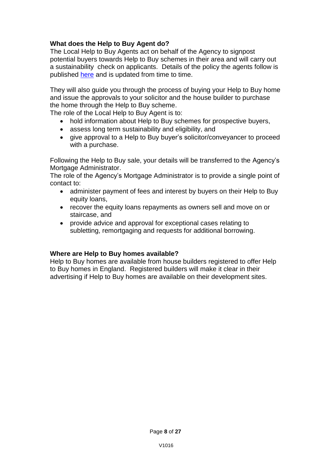# **What does the Help to Buy Agent do?**

The Local Help to Buy Agents act on behalf of the Agency to signpost potential buyers towards Help to Buy schemes in their area and will carry out a sustainability check on applicants. Details of the policy the agents follow is published [here](https://www.gov.uk/government/uploads/system/uploads/attachment_data/file/495034/Equity_Loan_calculator_guidance_-_Jan_2016.pdf) and is updated from time to time.

They will also guide you through the process of buying your Help to Buy home and issue the approvals to your solicitor and the house builder to purchase the home through the Help to Buy scheme.

The role of the Local Help to Buy Agent is to:

- hold information about Help to Buy schemes for prospective buyers,
- assess long term sustainability and eligibility, and
- give approval to a Help to Buy buyer's solicitor/conveyancer to proceed with a purchase.

Following the Help to Buy sale, your details will be transferred to the Agency's Mortgage Administrator.

The role of the Agency's Mortgage Administrator is to provide a single point of contact to:

- administer payment of fees and interest by buyers on their Help to Buy equity loans.
- recover the equity loans repayments as owners sell and move on or staircase, and
- provide advice and approval for exceptional cases relating to subletting, remortgaging and requests for additional borrowing.

## **Where are Help to Buy homes available?**

Help to Buy homes are available from house builders registered to offer Help to Buy homes in England. Registered builders will make it clear in their advertising if Help to Buy homes are available on their development sites.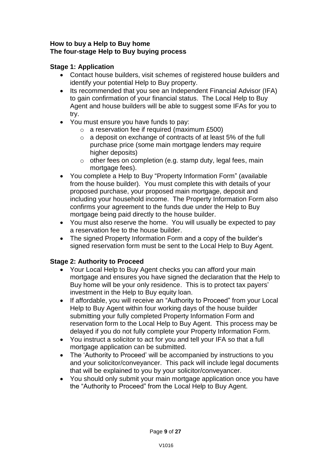## **How to buy a Help to Buy home The four-stage Help to Buy buying process**

# **Stage 1: Application**

- Contact house builders, visit schemes of registered house builders and identify your potential Help to Buy property.
- Its recommended that you see an Independent Financial Advisor (IFA) to gain confirmation of your financial status. The Local Help to Buy Agent and house builders will be able to suggest some IFAs for you to try.
- You must ensure you have funds to pay:
	- $\circ$  a reservation fee if required (maximum £500)
	- o a deposit on exchange of contracts of at least 5% of the full purchase price (some main mortgage lenders may require higher deposits)
	- o other fees on completion (e.g. stamp duty, legal fees, main mortgage fees).
- You complete a Help to Buy "Property Information Form" (available from the house builder). You must complete this with details of your proposed purchase, your proposed main mortgage, deposit and including your household income. The Property Information Form also confirms your agreement to the funds due under the Help to Buy mortgage being paid directly to the house builder.
- You must also reserve the home. You will usually be expected to pay a reservation fee to the house builder.
- The signed Property Information Form and a copy of the builder's signed reservation form must be sent to the Local Help to Buy Agent.

# **Stage 2: Authority to Proceed**

- Your Local Help to Buy Agent checks you can afford your main mortgage and ensures you have signed the declaration that the Help to Buy home will be your only residence. This is to protect tax payers' investment in the Help to Buy equity loan.
- If affordable, you will receive an "Authority to Proceed" from your Local Help to Buy Agent within four working days of the house builder submitting your fully completed Property Information Form and reservation form to the Local Help to Buy Agent. This process may be delayed if you do not fully complete your Property Information Form.
- You instruct a solicitor to act for you and tell your IFA so that a full mortgage application can be submitted.
- The 'Authority to Proceed' will be accompanied by instructions to you and your solicitor/conveyancer. This pack will include legal documents that will be explained to you by your solicitor/conveyancer.
- You should only submit your main mortgage application once you have the "Authority to Proceed" from the Local Help to Buy Agent.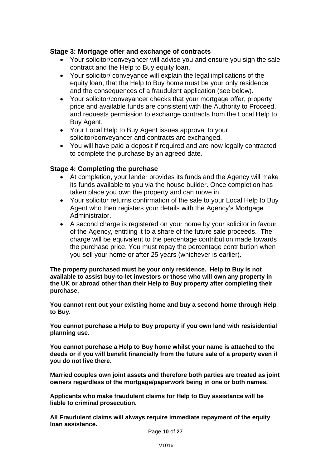## **Stage 3: Mortgage offer and exchange of contracts**

- Your solicitor/conveyancer will advise you and ensure you sign the sale contract and the Help to Buy equity loan.
- Your solicitor/ conveyance will explain the legal implications of the equity loan, that the Help to Buy home must be your only residence and the consequences of a fraudulent application (see below).
- Your solicitor/conveyancer checks that your mortgage offer, property price and available funds are consistent with the Authority to Proceed, and requests permission to exchange contracts from the Local Help to Buy Agent.
- Your Local Help to Buy Agent issues approval to your solicitor/conveyancer and contracts are exchanged.
- You will have paid a deposit if required and are now legally contracted to complete the purchase by an agreed date.

# **Stage 4: Completing the purchase**

- At completion, your lender provides its funds and the Agency will make its funds available to you via the house builder. Once completion has taken place you own the property and can move in.
- Your solicitor returns confirmation of the sale to your Local Help to Buy Agent who then registers your details with the Agency's Mortgage Administrator.
- A second charge is registered on your home by your solicitor in favour of the Agency, entitling it to a share of the future sale proceeds. The charge will be equivalent to the percentage contribution made towards the purchase price. You must repay the percentage contribution when you sell your home or after 25 years (whichever is earlier).

**The property purchased must be your only residence. Help to Buy is not available to assist buy-to-let investors or those who will own any property in the UK or abroad other than their Help to Buy property after completing their purchase.** 

**You cannot rent out your existing home and buy a second home through Help to Buy.** 

**You cannot purchase a Help to Buy property if you own land with resisidential planning use.** 

**You cannot purchase a Help to Buy home whilst your name is attached to the deeds or if you will benefit financially from the future sale of a property even if you do not live there.** 

**Married couples own joint assets and therefore both parties are treated as joint owners regardless of the mortgage/paperwork being in one or both names.** 

**Applicants who make fraudulent claims for Help to Buy assistance will be liable to criminal prosecution.** 

**All Fraudulent claims will always require immediate repayment of the equity loan assistance.**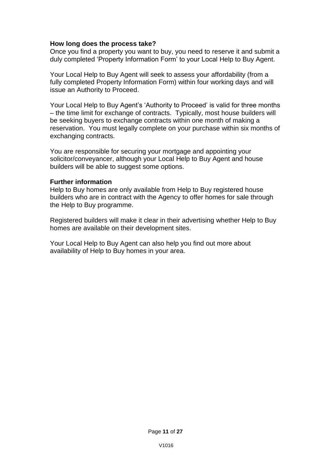#### **How long does the process take?**

Once you find a property you want to buy, you need to reserve it and submit a duly completed 'Property Information Form' to your Local Help to Buy Agent.

Your Local Help to Buy Agent will seek to assess your affordability (from a fully completed Property Information Form) within four working days and will issue an Authority to Proceed.

Your Local Help to Buy Agent's 'Authority to Proceed' is valid for three months – the time limit for exchange of contracts. Typically, most house builders will be seeking buyers to exchange contracts within one month of making a reservation. You must legally complete on your purchase within six months of exchanging contracts.

You are responsible for securing your mortgage and appointing your solicitor/conveyancer, although your Local Help to Buy Agent and house builders will be able to suggest some options.

#### **Further information**

Help to Buy homes are only available from Help to Buy registered house builders who are in contract with the Agency to offer homes for sale through the Help to Buy programme.

Registered builders will make it clear in their advertising whether Help to Buy homes are available on their development sites.

Your Local Help to Buy Agent can also help you find out more about availability of Help to Buy homes in your area.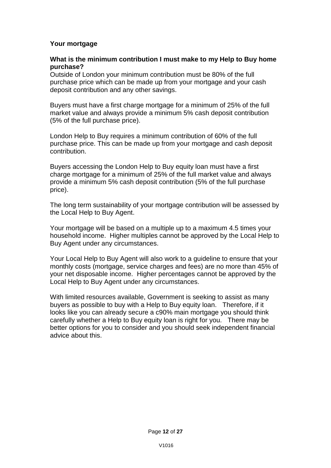# **Your mortgage**

## **What is the minimum contribution I must make to my Help to Buy home purchase?**

Outside of London your minimum contribution must be 80% of the full purchase price which can be made up from your mortgage and your cash deposit contribution and any other savings.

Buyers must have a first charge mortgage for a minimum of 25% of the full market value and always provide a minimum 5% cash deposit contribution (5% of the full purchase price).

London Help to Buy requires a minimum contribution of 60% of the full purchase price. This can be made up from your mortgage and cash deposit contribution.

Buyers accessing the London Help to Buy equity loan must have a first charge mortgage for a minimum of 25% of the full market value and always provide a minimum 5% cash deposit contribution (5% of the full purchase price).

The long term sustainability of your mortgage contribution will be assessed by the Local Help to Buy Agent.

Your mortgage will be based on a multiple up to a maximum 4.5 times your household income. Higher multiples cannot be approved by the Local Help to Buy Agent under any circumstances.

Your Local Help to Buy Agent will also work to a guideline to ensure that your monthly costs (mortgage, service charges and fees) are no more than 45% of your net disposable income. Higher percentages cannot be approved by the Local Help to Buy Agent under any circumstances.

With limited resources available, Government is seeking to assist as many buyers as possible to buy with a Help to Buy equity loan. Therefore, if it looks like you can already secure a c90% main mortgage you should think carefully whether a Help to Buy equity loan is right for you. There may be better options for you to consider and you should seek independent financial advice about this.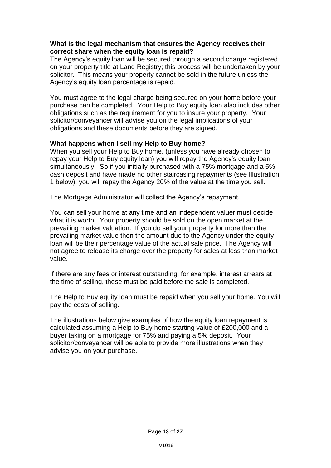## **What is the legal mechanism that ensures the Agency receives their correct share when the equity loan is repaid?**

The Agency's equity loan will be secured through a second charge registered on your property title at Land Registry; this process will be undertaken by your solicitor. This means your property cannot be sold in the future unless the Agency's equity loan percentage is repaid.

You must agree to the legal charge being secured on your home before your purchase can be completed. Your Help to Buy equity loan also includes other obligations such as the requirement for you to insure your property. Your solicitor/conveyancer will advise you on the legal implications of your obligations and these documents before they are signed.

# **What happens when I sell my Help to Buy home?**

When you sell your Help to Buy home, (unless you have already chosen to repay your Help to Buy equity loan) you will repay the Agency's equity loan simultaneously. So if you initially purchased with a 75% mortgage and a 5% cash deposit and have made no other staircasing repayments (see Illustration 1 below), you will repay the Agency 20% of the value at the time you sell.

The Mortgage Administrator will collect the Agency's repayment.

You can sell your home at any time and an independent valuer must decide what it is worth. Your property should be sold on the open market at the prevailing market valuation. If you do sell your property for more than the prevailing market value then the amount due to the Agency under the equity loan will be their percentage value of the actual sale price. The Agency will not agree to release its charge over the property for sales at less than market value.

If there are any fees or interest outstanding, for example, interest arrears at the time of selling, these must be paid before the sale is completed.

The Help to Buy equity loan must be repaid when you sell your home. You will pay the costs of selling.

The illustrations below give examples of how the equity loan repayment is calculated assuming a Help to Buy home starting value of £200,000 and a buyer taking on a mortgage for 75% and paying a 5% deposit. Your solicitor/conveyancer will be able to provide more illustrations when they advise you on your purchase.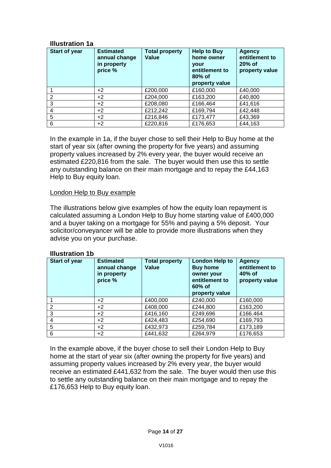## **Illustration 1a**

| Start of year | <b>Estimated</b><br>annual change<br>in property<br>price % | <b>Total property</b><br>Value | <b>Help to Buy</b><br>home owner<br><b>vour</b><br>entitlement to<br>$80\%$ of<br>property value | <b>Agency</b><br>entitlement to<br>$20%$ of<br>property value |
|---------------|-------------------------------------------------------------|--------------------------------|--------------------------------------------------------------------------------------------------|---------------------------------------------------------------|
|               | $+2$                                                        | £200,000                       | £160,000                                                                                         | £40,000                                                       |
| $\mathcal{P}$ | $+2$                                                        | £204,000                       | £163,200                                                                                         | £40,800                                                       |
| 3             | $+2$                                                        | £208,080                       | £166,464                                                                                         | £41,616                                                       |
| 4             | $+2$                                                        | £212,242                       | £169,794                                                                                         | £42,448                                                       |
| 5             | $+2$                                                        | £216,846                       | £173,477                                                                                         | £43,369                                                       |
| 6             | $+2$                                                        | £220,816                       | £176,653                                                                                         | £44,163                                                       |

In the example in 1a, if the buyer chose to sell their Help to Buy home at the start of year six (after owning the property for five years) and assuming property values increased by 2% every year, the buyer would receive an estimated £220,816 from the sale. The buyer would then use this to settle any outstanding balance on their main mortgage and to repay the £44,163 Help to Buy equity loan.

# London Help to Buy example

The illustrations below give examples of how the equity loan repayment is calculated assuming a London Help to Buy home starting value of £400,000 and a buyer taking on a mortgage for 55% and paying a 5% deposit. Your solicitor/conveyancer will be able to provide more illustrations when they advise you on your purchase.

## **Illustration 1b**

| Start of year | <b>Estimated</b><br>annual change<br>in property<br>price % | <b>Total property</b><br>Value | <b>London Help to</b><br><b>Buy home</b><br>owner your<br>entitlement to<br>$60%$ of<br>property value | <b>Agency</b><br>entitlement to<br>40% of<br>property value |
|---------------|-------------------------------------------------------------|--------------------------------|--------------------------------------------------------------------------------------------------------|-------------------------------------------------------------|
|               | $+2$                                                        | £400,000                       | £240,000                                                                                               | £160,000                                                    |
| 2             | $+2$                                                        | £408,000                       | £244,800                                                                                               | £163,200                                                    |
| 3             | $+2$                                                        | £416,160                       | £249,696                                                                                               | £166.464                                                    |
|               | $+2$                                                        | £424,483                       | £254,690                                                                                               | £169,793                                                    |
| 5             | $+2$                                                        | £432,973                       | £259,784                                                                                               | £173,189                                                    |
| 6             | $+2$                                                        | £441,632                       | £264,979                                                                                               | £176,653                                                    |

In the example above, if the buyer chose to sell their London Help to Buy home at the start of year six (after owning the property for five years) and assuming property values increased by 2% every year, the buyer would receive an estimated £441,632 from the sale. The buyer would then use this to settle any outstanding balance on their main mortgage and to repay the £176,653 Help to Buy equity loan.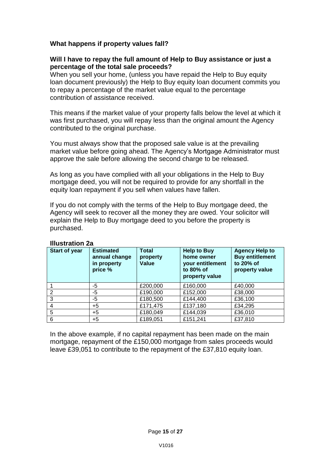# **What happens if property values fall?**

## **Will I have to repay the full amount of Help to Buy assistance or just a percentage of the total sale proceeds?**

When you sell your home, (unless you have repaid the Help to Buy equity loan document previously) the Help to Buy equity loan document commits you to repay a percentage of the market value equal to the percentage contribution of assistance received.

This means if the market value of your property falls below the level at which it was first purchased, you will repay less than the original amount the Agency contributed to the original purchase.

You must always show that the proposed sale value is at the prevailing market value before going ahead. The Agency's Mortgage Administrator must approve the sale before allowing the second charge to be released.

As long as you have complied with all your obligations in the Help to Buy mortgage deed, you will not be required to provide for any shortfall in the equity loan repayment if you sell when values have fallen.

If you do not comply with the terms of the Help to Buy mortgage deed, the Agency will seek to recover all the money they are owed. Your solicitor will explain the Help to Buy mortgage deed to you before the property is purchased.

| Start of year | <b>Estimated</b><br>annual change<br>in property<br>price % | <b>Total</b><br>property<br>Value | <b>Help to Buy</b><br>home owner<br>your entitlement<br>to 80% of<br>property value | <b>Agency Help to</b><br><b>Buy entitlement</b><br>to 20% of<br>property value |
|---------------|-------------------------------------------------------------|-----------------------------------|-------------------------------------------------------------------------------------|--------------------------------------------------------------------------------|
|               | -5                                                          | £200,000                          | £160,000                                                                            | £40,000                                                                        |
| 2             | $-5$                                                        | £190,000                          | £152,000                                                                            | £38,000                                                                        |
| 3             | -5                                                          | £180,500                          | £144,400                                                                            | £36,100                                                                        |
| 4             | $+5$                                                        | £171,475                          | £137,180                                                                            | £34,295                                                                        |
| 5             | $+5$                                                        | £180,049                          | £144,039                                                                            | £36,010                                                                        |
| 6             | $+5$                                                        | £189,051                          | £151,241                                                                            | £37,810                                                                        |

# **Illustration 2a**

In the above example, if no capital repayment has been made on the main mortgage, repayment of the £150,000 mortgage from sales proceeds would leave £39,051 to contribute to the repayment of the £37,810 equity loan.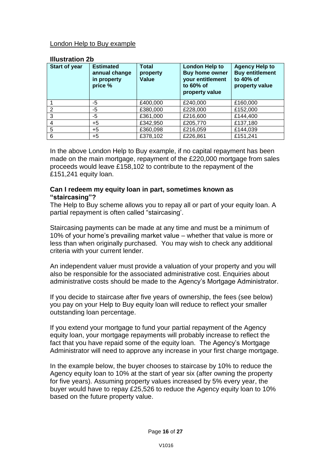## London Help to Buy example

#### **Illustration 2b**

| Start of year | <b>Estimated</b><br>annual change<br>in property<br>price % | <b>Total</b><br>property<br>Value | London Help to<br><b>Buy home owner</b><br>your entitlement<br>to $60\%$ of<br>property value | <b>Agency Help to</b><br><b>Buy entitlement</b><br>to 40% of<br>property value |
|---------------|-------------------------------------------------------------|-----------------------------------|-----------------------------------------------------------------------------------------------|--------------------------------------------------------------------------------|
|               | -5                                                          | £400,000                          | £240,000                                                                                      | £160,000                                                                       |
| 2             | -5                                                          | £380,000                          | £228,000                                                                                      | £152,000                                                                       |
| 3             | $-5$                                                        | £361,000                          | £216,600                                                                                      | £144,400                                                                       |
|               | $+5$                                                        | £342,950                          | £205,770                                                                                      | £137,180                                                                       |
| 5             | $+5$                                                        | £360,098                          | £216,059                                                                                      | £144,039                                                                       |
| 6             | $+5$                                                        | £378,102                          | £226,861                                                                                      | £151,241                                                                       |

In the above London Help to Buy example, if no capital repayment has been made on the main mortgage, repayment of the £220,000 mortgage from sales proceeds would leave £158,102 to contribute to the repayment of the £151,241 equity loan.

## **Can I redeem my equity loan in part, sometimes known as "staircasing"?**

The Help to Buy scheme allows you to repay all or part of your equity loan. A partial repayment is often called "staircasing'.

Staircasing payments can be made at any time and must be a minimum of 10% of your home's prevailing market value – whether that value is more or less than when originally purchased. You may wish to check any additional criteria with your current lender.

An independent valuer must provide a valuation of your property and you will also be responsible for the associated administrative cost. Enquiries about administrative costs should be made to the Agency's Mortgage Administrator.

If you decide to staircase after five years of ownership, the fees (see below) you pay on your Help to Buy equity loan will reduce to reflect your smaller outstanding loan percentage.

If you extend your mortgage to fund your partial repayment of the Agency equity loan, your mortgage repayments will probably increase to reflect the fact that you have repaid some of the equity loan. The Agency's Mortgage Administrator will need to approve any increase in your first charge mortgage.

In the example below, the buyer chooses to staircase by 10% to reduce the Agency equity loan to 10% at the start of year six (after owning the property for five years). Assuming property values increased by 5% every year, the buyer would have to repay £25,526 to reduce the Agency equity loan to 10% based on the future property value.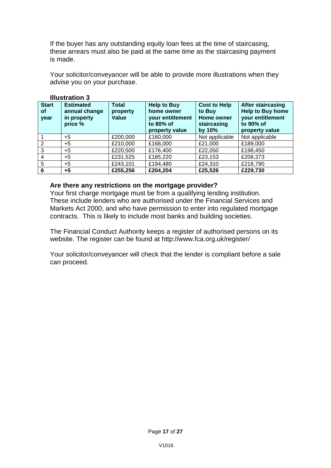If the buyer has any outstanding equity loan fees at the time of staircasing, these arrears must also be paid at the same time as the staircasing payment is made.

Your solicitor/conveyancer will be able to provide more illustrations when they advise you on your purchase.

| <b>Start</b><br>0f<br>year | <b>Estimated</b><br>annual change<br>in property<br>price % | <b>Total</b><br>property<br>Value | <b>Help to Buy</b><br>home owner<br>your entitlement<br>to 80% of<br>property value | <b>Cost to Help</b><br>to Buy<br><b>Home owner</b><br>staircasing<br>by $10\%$ | <b>After staircasing</b><br><b>Help to Buy home</b><br>your entitlement<br>to 90% of<br>property value |
|----------------------------|-------------------------------------------------------------|-----------------------------------|-------------------------------------------------------------------------------------|--------------------------------------------------------------------------------|--------------------------------------------------------------------------------------------------------|
|                            | $+5$                                                        | £200,000                          | £160,000                                                                            | Not applicable                                                                 | Not applicable                                                                                         |
| 2                          | $+5$                                                        | £210,000                          | £168,000                                                                            | £21,000                                                                        | £189,000                                                                                               |
| 3                          | +5                                                          | £220,500                          | £176,400                                                                            | £22,050                                                                        | £198,450                                                                                               |
| 4                          | $+5$                                                        | £231,525                          | £185,220                                                                            | £23,153                                                                        | £208,373                                                                                               |
| 5                          | $+5$                                                        | £243,101                          | £194,480                                                                            | £24,310                                                                        | £218,790                                                                                               |
| 6                          | +5                                                          | £255,256                          | £204,204                                                                            | £25,526                                                                        | £229,730                                                                                               |

# **Illustration 3**

#### **Are there any restrictions on the mortgage provider?**

Your first charge mortgage must be from a qualifying lending institution. These include lenders who are authorised under the Financial Services and Markets Act 2000, and who have permission to enter into regulated mortgage contracts. This is likely to include most banks and building societies.

The Financial Conduct Authority keeps a register of authorised persons on its website. The register can be found at http://www.fca.org.uk/register/

Your solicitor/conveyancer will check that the lender is compliant before a sale can proceed.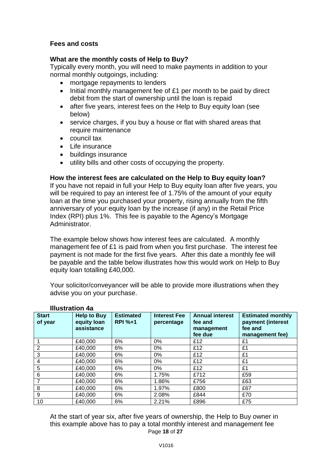# **Fees and costs**

## **What are the monthly costs of Help to Buy?**

Typically every month, you will need to make payments in addition to your normal monthly outgoings, including:

- mortgage repayments to lenders
- Initial monthly management fee of £1 per month to be paid by direct debit from the start of ownership until the loan is repaid
- after five years, interest fees on the Help to Buy equity loan (see below)
- service charges, if you buy a house or flat with shared areas that require maintenance
- council tax
- Life insurance
- buildings insurance
- utility bills and other costs of occupying the property.

#### **How the interest fees are calculated on the Help to Buy equity loan?**

If you have not repaid in full your Help to Buy equity loan after five years, you will be required to pay an interest fee of 1.75% of the amount of your equity loan at the time you purchased your property, rising annually from the fifth anniversary of your equity loan by the increase (if any) in the Retail Price Index (RPI) plus 1%. This fee is payable to the Agency's Mortgage Administrator.

The example below shows how interest fees are calculated. A monthly management fee of £1 is paid from when you first purchase. The interest fee payment is not made for the first five years. After this date a monthly fee will be payable and the table below illustrates how this would work on Help to Buy equity loan totalling £40,000.

Your solicitor/conveyancer will be able to provide more illustrations when they advise you on your purchase.

| <b>Start</b><br>of year | <b>Help to Buy</b><br>equity loan<br>assistance | <b>Estimated</b><br><b>RPI %+1</b> | <b>Interest Fee</b><br>percentage | <b>Annual interest</b><br>fee and<br>management<br>fee due | <b>Estimated monthly</b><br>payment (interest<br>fee and<br>management fee) |
|-------------------------|-------------------------------------------------|------------------------------------|-----------------------------------|------------------------------------------------------------|-----------------------------------------------------------------------------|
|                         | £40,000                                         | 6%                                 | $0\%$                             | £12                                                        | £1                                                                          |
| 2                       | £40,000                                         | 6%                                 | $0\%$                             | £12                                                        | £1                                                                          |
| 3                       | £40,000                                         | 6%                                 | $0\%$                             | £12                                                        | £1                                                                          |
| 4                       | £40,000                                         | 6%                                 | $0\%$                             | £12                                                        | £1                                                                          |
| 5                       | £40,000                                         | 6%                                 | 0%                                | £12                                                        | £1                                                                          |
| 6                       | £40,000                                         | 6%                                 | 1.75%                             | £712                                                       | £59                                                                         |
| 7                       | £40,000                                         | 6%                                 | 1.86%                             | £756                                                       | £63                                                                         |
| 8                       | £40,000                                         | 6%                                 | 1.97%                             | £800                                                       | £67                                                                         |
| 9                       | £40,000                                         | 6%                                 | 2.08%                             | £844                                                       | £70                                                                         |
| 10                      | £40,000                                         | 6%                                 | 2.21%                             | £896                                                       | £75                                                                         |

## **Illustration 4a**

Page **18** of **27** At the start of year six, after five years of ownership, the Help to Buy owner in this example above has to pay a total monthly interest and management fee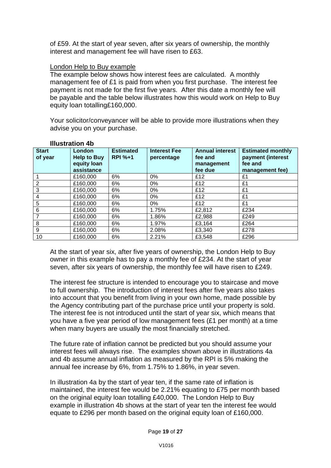of £59. At the start of year seven, after six years of ownership, the monthly interest and management fee will have risen to £63.

## London Help to Buy example

The example below shows how interest fees are calculated. A monthly management fee of £1 is paid from when you first purchase. The interest fee payment is not made for the first five years. After this date a monthly fee will be payable and the table below illustrates how this would work on Help to Buy equity loan totalling£160,000.

Your solicitor/conveyancer will be able to provide more illustrations when they advise you on your purchase.

| <b>Start</b><br>of year | <b>London</b><br><b>Help to Buy</b><br>equity loan<br>assistance | <b>Estimated</b><br><b>RPI %+1</b> | <b>Interest Fee</b><br>percentage | <b>Annual interest</b><br>fee and<br>management<br>fee due | <b>Estimated monthly</b><br>payment (interest<br>fee and<br>management fee) |
|-------------------------|------------------------------------------------------------------|------------------------------------|-----------------------------------|------------------------------------------------------------|-----------------------------------------------------------------------------|
|                         | £160,000                                                         | 6%                                 | $0\%$                             | £12                                                        | £1                                                                          |
| $\overline{2}$          | £160,000                                                         | 6%                                 | 0%                                | £12                                                        | £1                                                                          |
| 3                       | £160,000                                                         | 6%                                 | 0%                                | £12                                                        | £1                                                                          |
| 4                       | £160,000                                                         | 6%                                 | 0%                                | £12                                                        | £1                                                                          |
| 5                       | £160,000                                                         | 6%                                 | 0%                                | £12                                                        | £1                                                                          |
| 6                       | £160,000                                                         | 6%                                 | 1.75%                             | £2,812                                                     | £234                                                                        |
|                         | £160,000                                                         | 6%                                 | 1.86%                             | £2,988                                                     | £249                                                                        |
| 8                       | £160,000                                                         | 6%                                 | 1.97%                             | £3,164                                                     | £264                                                                        |
| 9                       | £160,000                                                         | 6%                                 | 2.08%                             | £3,340                                                     | £278                                                                        |
| 10                      | £160,000                                                         | 6%                                 | 2.21%                             | £3,548                                                     | £296                                                                        |

## **Illustration 4b**

At the start of year six, after five years of ownership, the London Help to Buy owner in this example has to pay a monthly fee of £234. At the start of year seven, after six years of ownership, the monthly fee will have risen to £249.

The interest fee structure is intended to encourage you to staircase and move to full ownership. The introduction of interest fees after five years also takes into account that you benefit from living in your own home, made possible by the Agency contributing part of the purchase price until your property is sold. The interest fee is not introduced until the start of year six, which means that you have a five year period of low management fees (£1 per month) at a time when many buyers are usually the most financially stretched.

The future rate of inflation cannot be predicted but you should assume your interest fees will always rise. The examples shown above in illustrations 4a and 4b assume annual inflation as measured by the RPI is 5% making the annual fee increase by 6%, from 1.75% to 1.86%, in year seven.

In illustration 4a by the start of year ten, if the same rate of inflation is maintained, the interest fee would be 2.21% equating to £75 per month based on the original equity loan totalling £40,000. The London Help to Buy example in illustration 4b shows at the start of year ten the interest fee would equate to £296 per month based on the original equity loan of £160,000.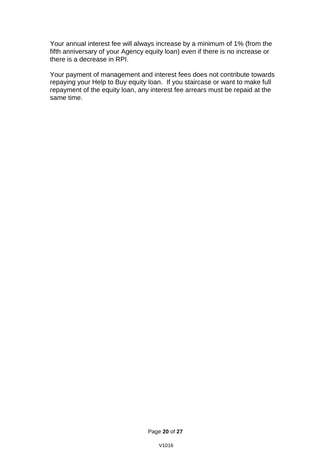Your annual interest fee will always increase by a minimum of 1% (from the fifth anniversary of your Agency equity loan) even if there is no increase or there is a decrease in RPI.

Your payment of management and interest fees does not contribute towards repaying your Help to Buy equity loan. If you staircase or want to make full repayment of the equity loan, any interest fee arrears must be repaid at the same time.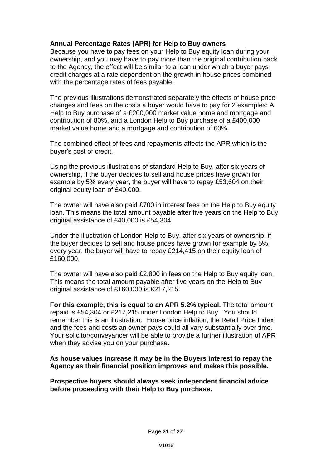# **Annual Percentage Rates (APR) for Help to Buy owners**

Because you have to pay fees on your Help to Buy equity loan during your ownership, and you may have to pay more than the original contribution back to the Agency, the effect will be similar to a loan under which a buyer pays credit charges at a rate dependent on the growth in house prices combined with the percentage rates of fees payable.

The previous illustrations demonstrated separately the effects of house price changes and fees on the costs a buyer would have to pay for 2 examples: A Help to Buy purchase of a £200,000 market value home and mortgage and contribution of 80%, and a London Help to Buy purchase of a £400,000 market value home and a mortgage and contribution of 60%.

The combined effect of fees and repayments affects the APR which is the buyer's cost of credit.

Using the previous illustrations of standard Help to Buy, after six years of ownership, if the buyer decides to sell and house prices have grown for example by 5% every year, the buyer will have to repay £53,604 on their original equity loan of £40,000.

The owner will have also paid £700 in interest fees on the Help to Buy equity loan. This means the total amount payable after five years on the Help to Buy original assistance of £40,000 is £54,304.

Under the illustration of London Help to Buy, after six years of ownership, if the buyer decides to sell and house prices have grown for example by 5% every year, the buyer will have to repay £214,415 on their equity loan of £160,000.

The owner will have also paid £2,800 in fees on the Help to Buy equity loan. This means the total amount payable after five years on the Help to Buy original assistance of £160,000 is £217,215.

**For this example, this is equal to an APR 5.2% typical.** The total amount repaid is £54,304 or £217,215 under London Help to Buy. You should remember this is an illustration. House price inflation, the Retail Price Index and the fees and costs an owner pays could all vary substantially over time. Your solicitor/conveyancer will be able to provide a further illustration of APR when they advise you on your purchase.

**As house values increase it may be in the Buyers interest to repay the Agency as their financial position improves and makes this possible.** 

**Prospective buyers should always seek independent financial advice before proceeding with their Help to Buy purchase.**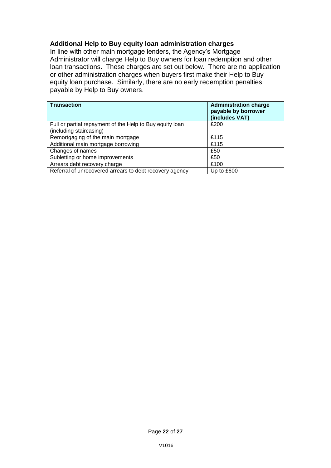## **Additional Help to Buy equity loan administration charges**

In line with other main mortgage lenders, the Agency's Mortgage Administrator will charge Help to Buy owners for loan redemption and other loan transactions. These charges are set out below. There are no application or other administration charges when buyers first make their Help to Buy equity loan purchase. Similarly, there are no early redemption penalties payable by Help to Buy owners.

| <b>Transaction</b>                                       | <b>Administration charge</b><br>payable by borrower<br>(includes VAT) |
|----------------------------------------------------------|-----------------------------------------------------------------------|
| Full or partial repayment of the Help to Buy equity loan | £200                                                                  |
| (including staircasing)                                  |                                                                       |
| Remortgaging of the main mortgage                        | £115                                                                  |
| Additional main mortgage borrowing                       | £115                                                                  |
| Changes of names                                         | £50                                                                   |
| Subletting or home improvements                          | £50                                                                   |
| Arrears debt recovery charge                             | £100                                                                  |
| Referral of unrecovered arrears to debt recovery agency  | Up to £600                                                            |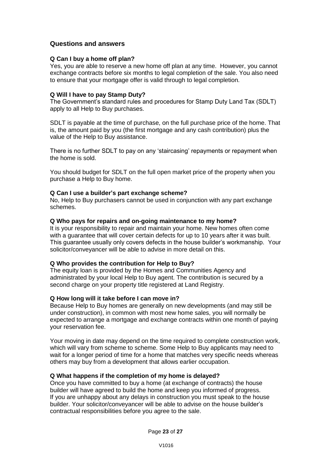#### **Questions and answers**

#### **Q Can I buy a home off plan?**

Yes, you are able to reserve a new home off plan at any time. However, you cannot exchange contracts before six months to legal completion of the sale. You also need to ensure that your mortgage offer is valid through to legal completion.

#### **Q Will I have to pay Stamp Duty?**

The Government's standard rules and procedures for Stamp Duty Land Tax (SDLT) apply to all Help to Buy purchases.

SDLT is payable at the time of purchase, on the full purchase price of the home. That is, the amount paid by you (the first mortgage and any cash contribution) plus the value of the Help to Buy assistance.

There is no further SDLT to pay on any 'staircasing' repayments or repayment when the home is sold.

You should budget for SDLT on the full open market price of the property when you purchase a Help to Buy home.

#### **Q Can I use a builder's part exchange scheme?**

No, Help to Buy purchasers cannot be used in conjunction with any part exchange schemes.

#### **Q Who pays for repairs and on-going maintenance to my home?**

It is your responsibility to repair and maintain your home. New homes often come with a guarantee that will cover certain defects for up to 10 years after it was built. This guarantee usually only covers defects in the house builder's workmanship. Your solicitor/conveyancer will be able to advise in more detail on this.

#### **Q Who provides the contribution for Help to Buy?**

The equity loan is provided by the Homes and Communities Agency and administrated by your local Help to Buy agent. The contribution is secured by a second charge on your property title registered at Land Registry.

#### **Q How long will it take before I can move in?**

Because Help to Buy homes are generally on new developments (and may still be under construction), in common with most new home sales, you will normally be expected to arrange a mortgage and exchange contracts within one month of paying your reservation fee.

Your moving in date may depend on the time required to complete construction work, which will vary from scheme to scheme. Some Help to Buy applicants may need to wait for a longer period of time for a home that matches very specific needs whereas others may buy from a development that allows earlier occupation.

#### **Q What happens if the completion of my home is delayed?**

Once you have committed to buy a home (at exchange of contracts) the house builder will have agreed to build the home and keep you informed of progress. If you are unhappy about any delays in construction you must speak to the house builder. Your solicitor/conveyancer will be able to advise on the house builder's contractual responsibilities before you agree to the sale.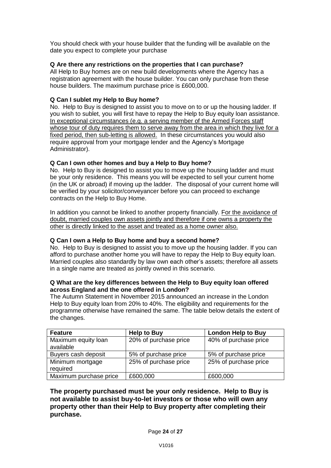You should check with your house builder that the funding will be available on the date you expect to complete your purchase

#### **Q Are there any restrictions on the properties that I can purchase?**

All Help to Buy homes are on new build developments where the Agency has a registration agreement with the house builder. You can only purchase from these house builders. The maximum purchase price is £600,000.

#### **Q Can I sublet my Help to Buy home?**

No. Help to Buy is designed to assist you to move on to or up the housing ladder. If you wish to sublet, you will first have to repay the Help to Buy equity loan assistance. In exceptional circumstances (e.g. a serving member of the Armed Forces staff whose tour of duty requires them to serve away from the area in which they live for a fixed period, then sub-letting is allowed. In these circumstances you would also require approval from your mortgage lender and the Agency's Mortgage Administrator).

#### **Q Can I own other homes and buy a Help to Buy home?**

No. Help to Buy is designed to assist you to move up the housing ladder and must be your only residence. This means you will be expected to sell your current home (in the UK or abroad) if moving up the ladder. The disposal of your current home will be verified by your solicitor/conveyancer before you can proceed to exchange contracts on the Help to Buy Home.

In addition you cannot be linked to another property financially. For the avoidance of doubt, married couples own assets jointly and therefore if one owns a property the other is directly linked to the asset and treated as a home owner also.

## **Q Can I own a Help to Buy home and buy a second home?**

No. Help to Buy is designed to assist you to move up the housing ladder. If you can afford to purchase another home you will have to repay the Help to Buy equity loan. Married couples also standardly by law own each other's assets; therefore all assets in a single name are treated as jointly owned in this scenario.

#### **Q What are the key differences between the Help to Buy equity loan offered across England and the one offered in London?**

The Autumn Statement in November 2015 announced an increase in the London Help to Buy equity loan from 20% to 40%. The eligibility and requirements for the programme otherwise have remained the same. The table below details the extent of the changes.

| <b>Feature</b>                   | <b>Help to Buy</b>    | <b>London Help to Buy</b> |
|----------------------------------|-----------------------|---------------------------|
| Maximum equity loan<br>available | 20% of purchase price | 40% of purchase price     |
| Buyers cash deposit              | 5% of purchase price  | 5% of purchase price      |
| Minimum mortgage<br>required     | 25% of purchase price | 25% of purchase price     |
| Maximum purchase price           | £600,000              | £600,000                  |

## **The property purchased must be your only residence. Help to Buy is not available to assist buy-to-let investors or those who will own any property other than their Help to Buy property after completing their purchase.**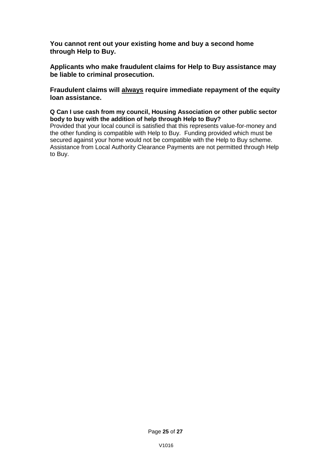**You cannot rent out your existing home and buy a second home through Help to Buy.** 

**Applicants who make fraudulent claims for Help to Buy assistance may be liable to criminal prosecution.** 

**Fraudulent claims will always require immediate repayment of the equity loan assistance.** 

**Q Can I use cash from my council, Housing Association or other public sector body to buy with the addition of help through Help to Buy?** 

Provided that your local council is satisfied that this represents value-for-money and the other funding is compatible with Help to Buy. Funding provided which must be secured against your home would not be compatible with the Help to Buy scheme. Assistance from Local Authority Clearance Payments are not permitted through Help to Buy.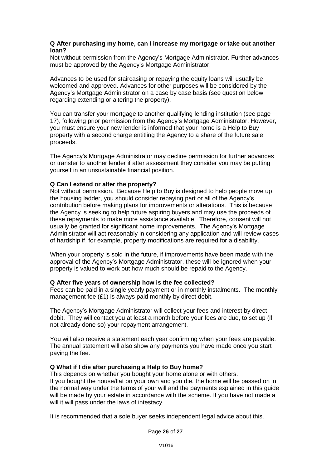#### **Q After purchasing my home, can I increase my mortgage or take out another loan?**

Not without permission from the Agency's Mortgage Administrator. Further advances must be approved by the Agency's Mortgage Administrator.

Advances to be used for staircasing or repaying the equity loans will usually be welcomed and approved. Advances for other purposes will be considered by the Agency's Mortgage Administrator on a case by case basis (see question below regarding extending or altering the property).

You can transfer your mortgage to another qualifying lending institution (see page) 17), following prior permission from the Agency's Mortgage Administrator. However, you must ensure your new lender is informed that your home is a Help to Buy property with a second charge entitling the Agency to a share of the future sale proceeds.

The Agency's Mortgage Administrator may decline permission for further advances or transfer to another lender if after assessment they consider you may be putting yourself in an unsustainable financial position.

#### **Q Can I extend or alter the property?**

Not without permission. Because Help to Buy is designed to help people move up the housing ladder, you should consider repaying part or all of the Agency's contribution before making plans for improvements or alterations. This is because the Agency is seeking to help future aspiring buyers and may use the proceeds of these repayments to make more assistance available. Therefore, consent will not usually be granted for significant home improvements. The Agency's Mortgage Administrator will act reasonably in considering any application and will review cases of hardship if, for example, property modifications are required for a disability.

When your property is sold in the future, if improvements have been made with the approval of the Agency's Mortgage Administrator, these will be ignored when your property is valued to work out how much should be repaid to the Agency.

#### **Q After five years of ownership how is the fee collected?**

Fees can be paid in a single yearly payment or in monthly instalments. The monthly management fee (£1) is always paid monthly by direct debit.

The Agency's Mortgage Administrator will collect your fees and interest by direct debit. They will contact you at least a month before your fees are due, to set up (if not already done so) your repayment arrangement.

You will also receive a statement each year confirming when your fees are payable. The annual statement will also show any payments you have made once you start paying the fee.

#### **Q What if I die after purchasing a Help to Buy home?**

This depends on whether you bought your home alone or with others. If you bought the house/flat on your own and you die, the home will be passed on in the normal way under the terms of your will and the payments explained in this guide will be made by your estate in accordance with the scheme. If you have not made a will it will pass under the laws of intestacy.

It is recommended that a sole buyer seeks independent legal advice about this.